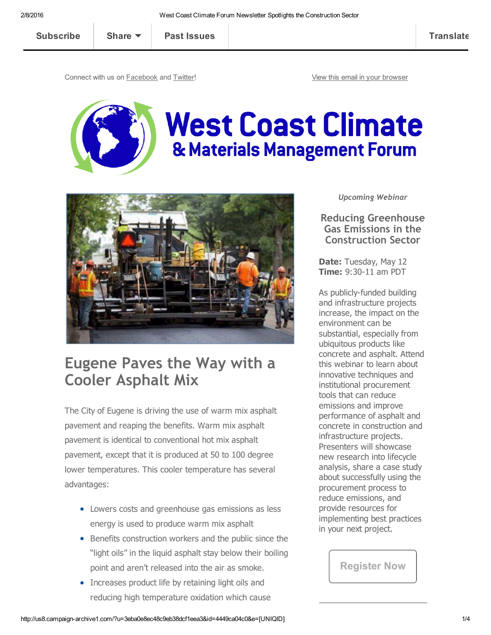| <b>Subscribe</b> | Share $\blacktriangledown$ | <b>Past Issues</b> | <b>Translate</b> |
|------------------|----------------------------|--------------------|------------------|
|                  |                            |                    |                  |

Connect with us on [Facebook](http://www.facebook.com/WCClimateForum) and [Twitter!](http://www.twitter.com/WCClimateForum) The Connect with us on Facebook and Twitter!





# Eugene Paves the Way with a Cooler Asphalt Mix

The City of Eugene is driving the use of warm mix asphalt pavement and reaping the benefits. Warm mix asphalt pavement is identical to conventional hot mix asphalt pavement, except that it is produced at 50 to 100 degree lower temperatures. This cooler temperature has several advantages:

- Lowers costs and greenhouse gas emissions as less energy is used to produce warm mix asphalt
- Benefits construction workers and the public since the "light oils" in the liquid asphalt stay below their boiling point and aren't released into the air as smoke.
- Increases product life by retaining light oils and reducing high temperature oxidation which cause

*Upcoming Webinar*

Reducing Greenhouse Gas Emissions in the Construction Sector

Date: Tuesday, May 12 **Time: 9:30-11 am PDT** 

As publicly-funded building and infrastructure projects increase, the impact on the environment can be substantial, especially from ubiquitous products like concrete and asphalt. Attend this webinar to learn about innovative techniques and institutional procurement tools that can reduce emissions and improve performance of asphalt and concrete in construction and infrastructure projects. Presenters will showcase new research into lifecycle analysis, share a case study about successfully using the procurement process to reduce emissions, and provide resources for implementing best practices in your next project.

[Register](http://bitly.com/may12webinar) Now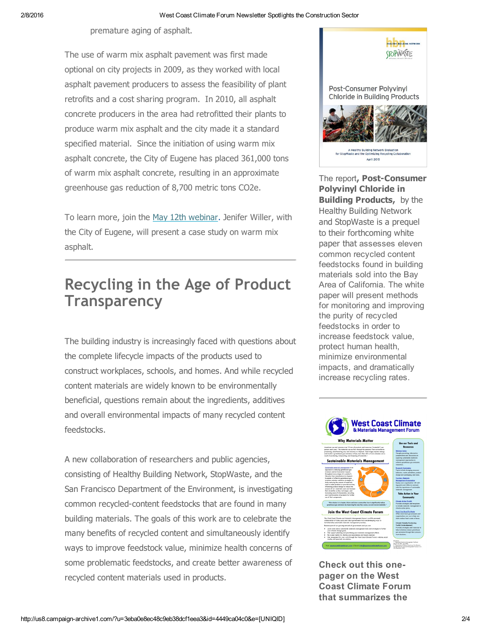premature aging of asphalt.

The use of warm mix asphalt pavement was first made optional on city projects in 2009, as they worked with local asphalt pavement producers to assess the feasibility of plant retrofits and a cost sharing program. In 2010, all asphalt concrete producers in the area had retrofitted their plants to produce warm mix asphalt and the city made it a standard specified material. Since the initiation of using warm mix asphalt concrete, the City of Eugene has placed 361,000 tons of warm mix asphalt concrete, resulting in an approximate greenhouse gas reduction of 8,700 metric tons CO2e.

To learn more, join the May 12th [webinar](http://bitly.com/may12webinar). Jenifer Willer, with the City of Eugene, will present a case study on warm mix asphalt.

## Recycling in the Age of Product **Transparency**

The building industry is increasingly faced with questions about the complete lifecycle impacts of the products used to construct workplaces, schools, and homes. And while recycled content materials are widely known to be environmentally beneficial, questions remain about the ingredients, additives and overall environmental impacts of many recycled content feedstocks.

A new collaboration of researchers and public agencies, consisting of Healthy Building Network, StopWaste, and the San Francisco Department of the Environment, is investigating common recycled-content feedstocks that are found in many building materials. The goals of this work are to celebrate the many benefits of recycled content and simultaneously identify ways to improve feedstock value, minimize health concerns of some problematic feedstocks, and create better awareness of recycled content materials used in products.



The report, Post-Consumer Polyvinyl Chloride in **Building Products, by the** Healthy Building Network and StopWaste is a prequel to their forthcoming white paper that assesses eleven common recycled content feedstocks found in building materials sold into the Bay Area of California. The white paper will present methods for monitoring and improving the purity of recycled feedstocks in order to increase feedstock value, protect human health, minimize environmental impacts, and dramatically increase recycling rates.



Check out this onepager on the West Coast Climate Forum that summarizes the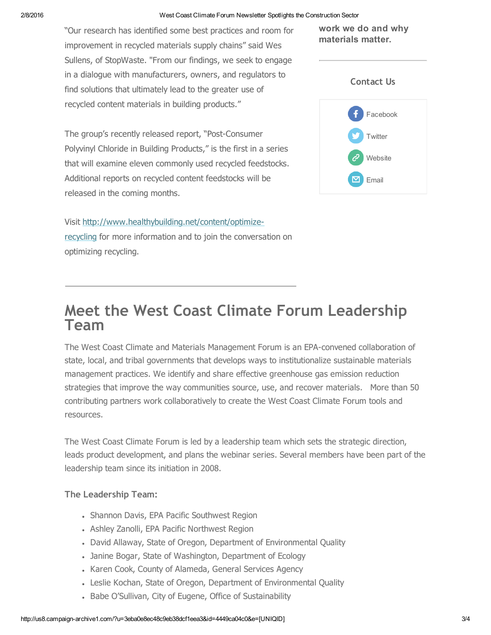#### 2/8/2016 West Coast Climate Forum Newsletter Spotlights the Construction Sector

"Our research has identified some best practices and room for improvement in recycled materials supply chains" said Wes Sullens, of StopWaste. "From our findings, we seek to engage in a dialogue with manufacturers, owners, and regulators to find solutions that ultimately lead to the greater use of recycled content materials in building products."

The group's recently released report, "Post-Consumer Polyvinyl Chloride in Building Products," is the first in a series that will examine eleven commonly used recycled feedstocks. Additional reports on recycled content feedstocks will be released in the coming months.

Visit [http://www.healthybuilding.net/content/optimize-](http://www.healthybuilding.net/content/optimize-recycling)

recycling for more information and to join the conversation on optimizing recycling.

work we do and why materials matter.



### Meet the West Coast Climate Forum Leadership Team

The West Coast Climate and Materials Management Forum is an EPA-convened collaboration of state, local, and tribal governments that develops ways to institutionalize sustainable materials management practices. We identify and share effective greenhouse gas emission reduction strategies that improve the way communities source, use, and recover materials. More than 50 contributing partners work collaboratively to create the West Coast Climate Forum tools and resources.

The West Coast Climate Forum is led by a leadership team which sets the strategic direction, leads product development, and plans the webinar series. Several members have been part of the leadership team since its initiation in 2008.

### The Leadership Team:

- Shannon Davis, EPA Pacific Southwest Region
- Ashley Zanolli, EPA Pacific Northwest Region
- David Allaway, State of Oregon, Department of Environmental Quality
- Janine Bogar, State of Washington, Department of Ecology
- Karen Cook, County of Alameda, General Services Agency
- Leslie Kochan, State of Oregon, Department of Environmental Quality
- Babe O'Sullivan, City of Eugene, Office of Sustainability